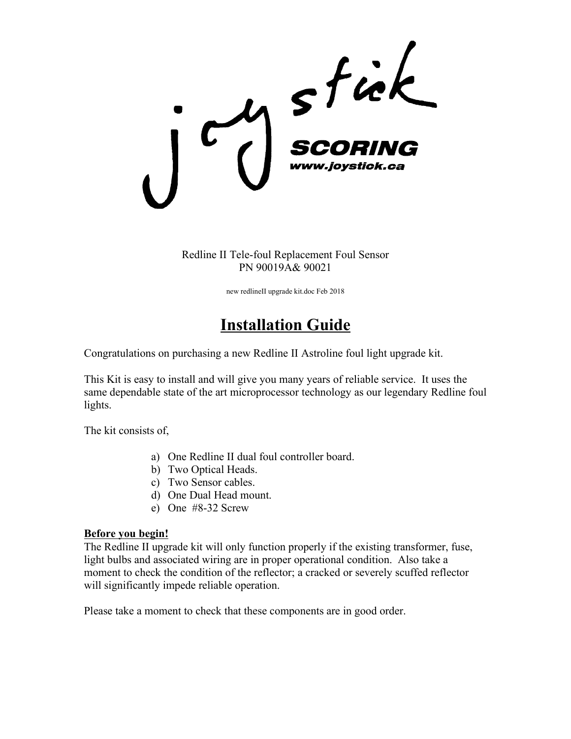

Redline II Tele-foul Replacement Foul Sensor PN 90019A& 90021

new redlineII upgrade kit.doc Feb 2018

# **Installation Guide**

Congratulations on purchasing a new Redline II Astroline foul light upgrade kit.

This Kit is easy to install and will give you many years of reliable service. It uses the same dependable state of the art microprocessor technology as our legendary Redline foul lights.

The kit consists of,

- a) One Redline II dual foul controller board.
- b) Two Optical Heads.
- c) Two Sensor cables.
- d) One Dual Head mount.
- e) One #8-32 Screw

## **Before you begin!**

The Redline II upgrade kit will only function properly if the existing transformer, fuse, light bulbs and associated wiring are in proper operational condition. Also take a moment to check the condition of the reflector; a cracked or severely scuffed reflector will significantly impede reliable operation.

Please take a moment to check that these components are in good order.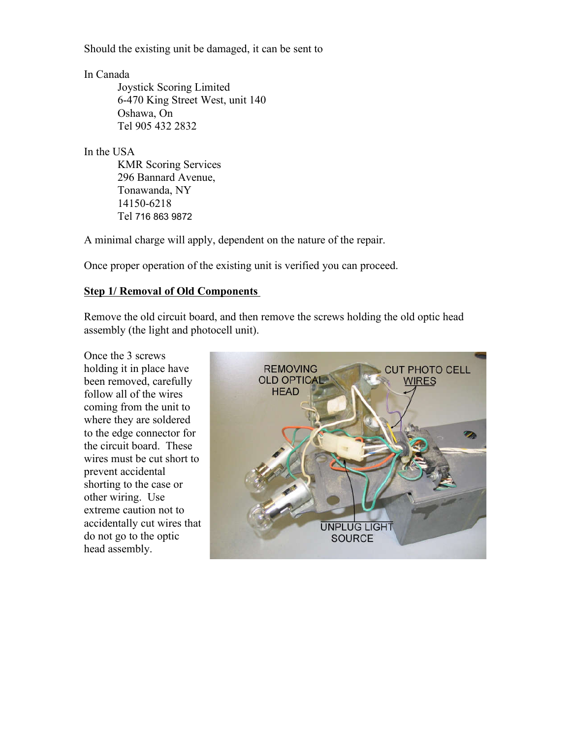Should the existing unit be damaged, it can be sent to

In Canada

Joystick Scoring Limited 6-470 King Street West, unit 140 Oshawa, On Tel 905 432 2832

In the USA

KMR Scoring Services 296 Bannard Avenue, Tonawanda, NY 14150-6218 Tel 716 863 9872

A minimal charge will apply, dependent on the nature of the repair.

Once proper operation of the existing unit is verified you can proceed.

## **Step 1/ Removal of Old Components**

Remove the old circuit board, and then remove the screws holding the old optic head assembly (the light and photocell unit).

Once the 3 screws holding it in place have been removed, carefully follow all of the wires coming from the unit to where they are soldered to the edge connector for the circuit board. These wires must be cut short to prevent accidental shorting to the case or other wiring. Use extreme caution not to accidentally cut wires that do not go to the optic head assembly.

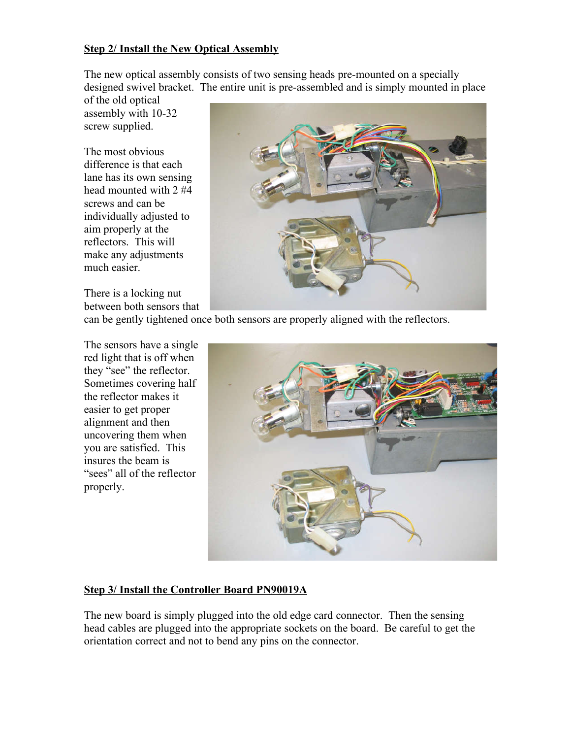## **Step 2/ Install the New Optical Assembly**

The new optical assembly consists of two sensing heads pre-mounted on a specially designed swivel bracket. The entire unit is pre-assembled and is simply mounted in place

of the old optical assembly with 10-32 screw supplied.

The most obvious difference is that each lane has its own sensing head mounted with 2 #4 screws and can be individually adjusted to aim properly at the reflectors. This will make any adjustments much easier.

There is a locking nut between both sensors that



can be gently tightened once both sensors are properly aligned with the reflectors.

The sensors have a single red light that is off when they "see" the reflector. Sometimes covering half the reflector makes it easier to get proper alignment and then uncovering them when you are satisfied. This insures the beam is "sees" all of the reflector properly.



## **Step 3/ Install the Controller Board PN90019A**

The new board is simply plugged into the old edge card connector. Then the sensing head cables are plugged into the appropriate sockets on the board. Be careful to get the orientation correct and not to bend any pins on the connector.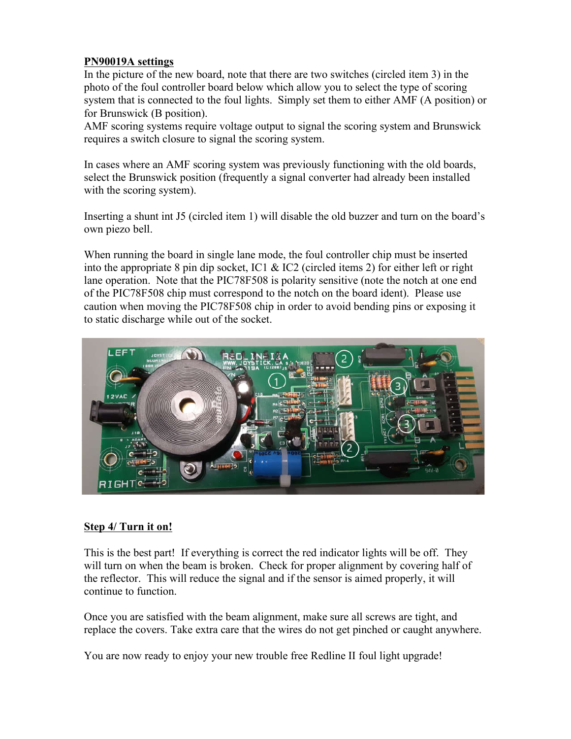## **PN90019A settings**

In the picture of the new board, note that there are two switches (circled item 3) in the photo of the foul controller board below which allow you to select the type of scoring system that is connected to the foul lights. Simply set them to either AMF (A position) or for Brunswick (B position).

AMF scoring systems require voltage output to signal the scoring system and Brunswick requires a switch closure to signal the scoring system.

In cases where an AMF scoring system was previously functioning with the old boards, select the Brunswick position (frequently a signal converter had already been installed with the scoring system).

Inserting a shunt int J5 (circled item 1) will disable the old buzzer and turn on the board's own piezo bell.

When running the board in single lane mode, the foul controller chip must be inserted into the appropriate 8 pin dip socket, IC1 & IC2 (circled items 2) for either left or right lane operation. Note that the PIC78F508 is polarity sensitive (note the notch at one end of the PIC78F508 chip must correspond to the notch on the board ident). Please use caution when moving the PIC78F508 chip in order to avoid bending pins or exposing it to static discharge while out of the socket.



## **Step 4/ Turn it on!**

This is the best part! If everything is correct the red indicator lights will be off. They will turn on when the beam is broken. Check for proper alignment by covering half of the reflector. This will reduce the signal and if the sensor is aimed properly, it will continue to function.

Once you are satisfied with the beam alignment, make sure all screws are tight, and replace the covers. Take extra care that the wires do not get pinched or caught anywhere.

You are now ready to enjoy your new trouble free Redline II foul light upgrade!